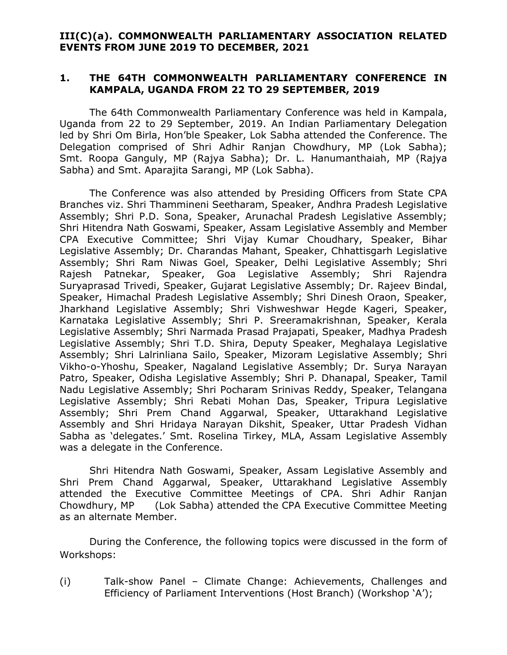### **III(C)(a). COMMONWEALTH PARLIAMENTARY ASSOCIATION RELATED EVENTS FROM JUNE 2019 TO DECEMBER, 2021**

### **1. THE 64TH COMMONWEALTH PARLIAMENTARY CONFERENCE IN KAMPALA, UGANDA FROM 22 TO 29 SEPTEMBER, 2019**

The 64th Commonwealth Parliamentary Conference was held in Kampala, Uganda from 22 to 29 September, 2019. An Indian Parliamentary Delegation led by Shri Om Birla, Hon'ble Speaker, Lok Sabha attended the Conference. The Delegation comprised of Shri Adhir Ranjan Chowdhury, MP (Lok Sabha); Smt. Roopa Ganguly, MP (Rajya Sabha); Dr. L. Hanumanthaiah, MP (Rajya Sabha) and Smt. Aparajita Sarangi, MP (Lok Sabha).

The Conference was also attended by Presiding Officers from State CPA Branches viz. Shri Thammineni Seetharam, Speaker, Andhra Pradesh Legislative Assembly; Shri P.D. Sona, Speaker, Arunachal Pradesh Legislative Assembly; Shri Hitendra Nath Goswami, Speaker, Assam Legislative Assembly and Member CPA Executive Committee; Shri Vijay Kumar Choudhary, Speaker, Bihar Legislative Assembly; Dr. Charandas Mahant, Speaker, Chhattisgarh Legislative Assembly; Shri Ram Niwas Goel, Speaker, Delhi Legislative Assembly; Shri Rajesh Patnekar, Speaker, Goa Legislative Assembly; Shri Rajendra Suryaprasad Trivedi, Speaker, Gujarat Legislative Assembly; Dr. Rajeev Bindal, Speaker, Himachal Pradesh Legislative Assembly; Shri Dinesh Oraon, Speaker, Jharkhand Legislative Assembly; Shri Vishweshwar Hegde Kageri, Speaker, Karnataka Legislative Assembly; Shri P. Sreeramakrishnan, Speaker, Kerala Legislative Assembly; Shri Narmada Prasad Prajapati, Speaker, Madhya Pradesh Legislative Assembly; Shri T.D. Shira, Deputy Speaker, Meghalaya Legislative Assembly; Shri Lalrinliana Sailo, Speaker, Mizoram Legislative Assembly; Shri Vikho-o-Yhoshu, Speaker, Nagaland Legislative Assembly; Dr. Surya Narayan Patro, Speaker, Odisha Legislative Assembly; Shri P. Dhanapal, Speaker, Tamil Nadu Legislative Assembly; Shri Pocharam Srinivas Reddy, Speaker, Telangana Legislative Assembly; Shri Rebati Mohan Das, Speaker, Tripura Legislative Assembly; Shri Prem Chand Aggarwal, Speaker, Uttarakhand Legislative Assembly and Shri Hridaya Narayan Dikshit, Speaker, Uttar Pradesh Vidhan Sabha as 'delegates.' Smt. Roselina Tirkey, MLA, Assam Legislative Assembly was a delegate in the Conference.

Shri Hitendra Nath Goswami, Speaker, Assam Legislative Assembly and Shri Prem Chand Aggarwal, Speaker, Uttarakhand Legislative Assembly attended the Executive Committee Meetings of CPA. Shri Adhir Ranjan Chowdhury, MP (Lok Sabha) attended the CPA Executive Committee Meeting as an alternate Member.

During the Conference, the following topics were discussed in the form of Workshops:

(i) Talk-show Panel – Climate Change: Achievements, Challenges and Efficiency of Parliament Interventions (Host Branch) (Workshop 'A');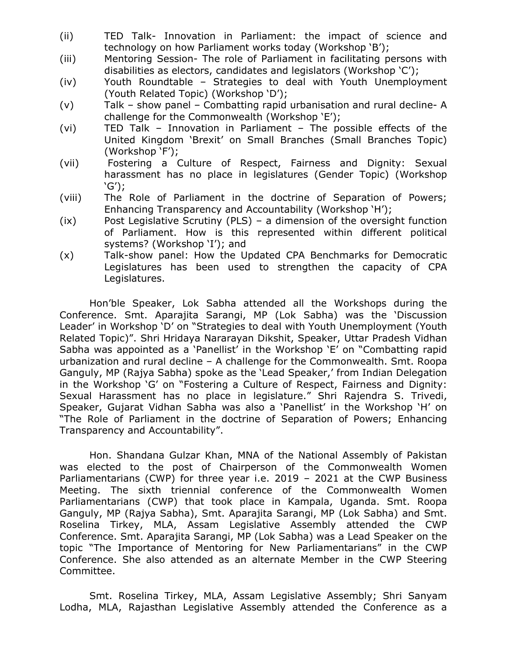- (ii) TED Talk- Innovation in Parliament: the impact of science and technology on how Parliament works today (Workshop 'B');
- (iii) Mentoring Session- The role of Parliament in facilitating persons with disabilities as electors, candidates and legislators (Workshop 'C');
- (iv) Youth Roundtable Strategies to deal with Youth Unemployment (Youth Related Topic) (Workshop 'D');
- (v) Talk show panel Combatting rapid urbanisation and rural decline- A challenge for the Commonwealth (Workshop 'E');
- (vi) TED Talk Innovation in Parliament The possible effects of the United Kingdom 'Brexit' on Small Branches (Small Branches Topic) (Workshop 'F');
- (vii) Fostering a Culture of Respect, Fairness and Dignity: Sexual harassment has no place in legislatures (Gender Topic) (Workshop 'G');
- (viii) The Role of Parliament in the doctrine of Separation of Powers; Enhancing Transparency and Accountability (Workshop 'H');
- (ix) Post Legislative Scrutiny (PLS) a dimension of the oversight function of Parliament. How is this represented within different political systems? (Workshop 'I'); and
- (x) Talk-show panel: How the Updated CPA Benchmarks for Democratic Legislatures has been used to strengthen the capacity of CPA Legislatures.

Hon'ble Speaker, Lok Sabha attended all the Workshops during the Conference. Smt. Aparajita Sarangi, MP (Lok Sabha) was the 'Discussion Leader' in Workshop 'D' on "Strategies to deal with Youth Unemployment (Youth Related Topic)". Shri Hridaya Nararayan Dikshit, Speaker, Uttar Pradesh Vidhan Sabha was appointed as a 'Panellist' in the Workshop 'E' on "Combatting rapid urbanization and rural decline – A challenge for the Commonwealth. Smt. Roopa Ganguly, MP (Rajya Sabha) spoke as the 'Lead Speaker,' from Indian Delegation in the Workshop 'G' on "Fostering a Culture of Respect, Fairness and Dignity: Sexual Harassment has no place in legislature." Shri Rajendra S. Trivedi, Speaker, Gujarat Vidhan Sabha was also a 'Panellist' in the Workshop 'H' on "The Role of Parliament in the doctrine of Separation of Powers; Enhancing Transparency and Accountability".

Hon. Shandana Gulzar Khan, MNA of the National Assembly of Pakistan was elected to the post of Chairperson of the Commonwealth Women Parliamentarians (CWP) for three year i.e. 2019 – 2021 at the CWP Business Meeting. The sixth triennial conference of the Commonwealth Women Parliamentarians (CWP) that took place in Kampala, Uganda. Smt. Roopa Ganguly, MP (Rajya Sabha), Smt. Aparajita Sarangi, MP (Lok Sabha) and Smt. Roselina Tirkey, MLA, Assam Legislative Assembly attended the CWP Conference. Smt. Aparajita Sarangi, MP (Lok Sabha) was a Lead Speaker on the topic "The Importance of Mentoring for New Parliamentarians" in the CWP Conference. She also attended as an alternate Member in the CWP Steering Committee.

Smt. Roselina Tirkey, MLA, Assam Legislative Assembly; Shri Sanyam Lodha, MLA, Rajasthan Legislative Assembly attended the Conference as a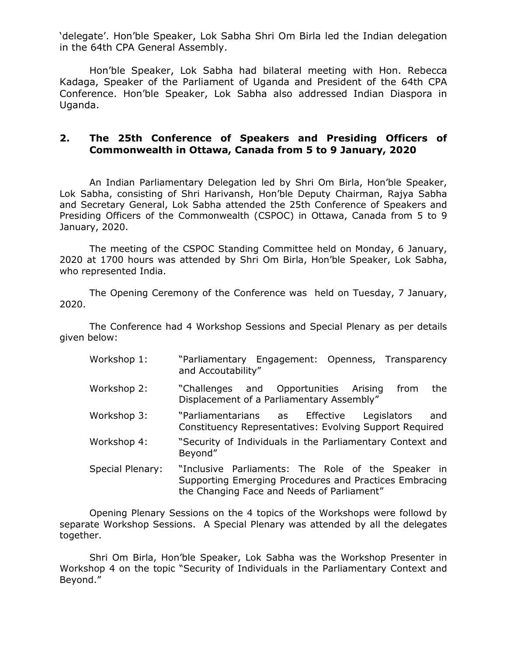'delegate'. Hon'ble Speaker, Lok Sabha Shri Om Birla led the Indian delegation in the 64th CPA General Assembly.

Hon'ble Speaker, Lok Sabha had bilateral meeting with Hon. Rebecca Kadaga, Speaker of the Parliament of Uganda and President of the 64th CPA Conference. Hon'ble Speaker, Lok Sabha also addressed Indian Diaspora in Uganda.

#### **2. The 25th Conference of Speakers and Presiding Officers of Commonwealth in Ottawa, Canada from 5 to 9 January, 2020**

An Indian Parliamentary Delegation led by Shri Om Birla, Hon'ble Speaker, Lok Sabha, consisting of Shri Harivansh, Hon'ble Deputy Chairman, Rajya Sabha and Secretary General, Lok Sabha attended the 25th Conference of Speakers and Presiding Officers of the Commonwealth (CSPOC) in Ottawa, Canada from 5 to 9 January, 2020.

The meeting of the CSPOC Standing Committee held on Monday, 6 January, 2020 at 1700 hours was attended by Shri Om Birla, Hon'ble Speaker, Lok Sabha, who represented India.

The Opening Ceremony of the Conference was held on Tuesday, 7 January, 2020.

The Conference had 4 Workshop Sessions and Special Plenary as per details given below:

- Workshop 1: "Parliamentary Engagement: Openness, Transparency and Accoutability"
- Workshop 2: "Challenges and Opportunities Arising from the Displacement of a Parliamentary Assembly"
- Workshop 3: "Parliamentarians as Effective Legislators and Constituency Representatives: Evolving Support Required
- Workshop 4: "Security of Individuals in the Parliamentary Context and Beyond"
- Special Plenary: "Inclusive Parliaments: The Role of the Speaker in Supporting Emerging Procedures and Practices Embracing the Changing Face and Needs of Parliament"

Opening Plenary Sessions on the 4 topics of the Workshops were followd by separate Workshop Sessions. A Special Plenary was attended by all the delegates together.

Shri Om Birla, Hon'ble Speaker, Lok Sabha was the Workshop Presenter in Workshop 4 on the topic "Security of Individuals in the Parliamentary Context and Beyond."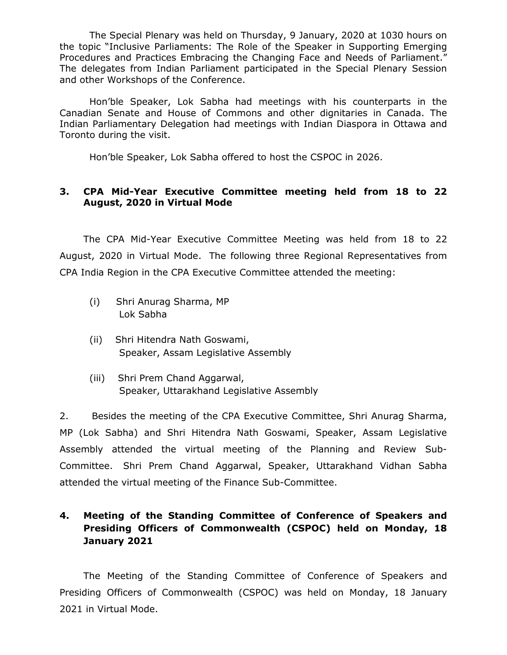The Special Plenary was held on Thursday, 9 January, 2020 at 1030 hours on the topic "Inclusive Parliaments: The Role of the Speaker in Supporting Emerging Procedures and Practices Embracing the Changing Face and Needs of Parliament." The delegates from Indian Parliament participated in the Special Plenary Session and other Workshops of the Conference.

Hon'ble Speaker, Lok Sabha had meetings with his counterparts in the Canadian Senate and House of Commons and other dignitaries in Canada. The Indian Parliamentary Delegation had meetings with Indian Diaspora in Ottawa and Toronto during the visit.

Hon'ble Speaker, Lok Sabha offered to host the CSPOC in 2026.

#### **3. CPA Mid-Year Executive Committee meeting held from 18 to 22 August, 2020 in Virtual Mode**

The CPA Mid-Year Executive Committee Meeting was held from 18 to 22 August, 2020 in Virtual Mode. The following three Regional Representatives from CPA India Region in the CPA Executive Committee attended the meeting:

- (i) Shri Anurag Sharma, MP Lok Sabha
- (ii) Shri Hitendra Nath Goswami, Speaker, Assam Legislative Assembly
- (iii) Shri Prem Chand Aggarwal, Speaker, Uttarakhand Legislative Assembly

2. Besides the meeting of the CPA Executive Committee, Shri Anurag Sharma, MP (Lok Sabha) and Shri Hitendra Nath Goswami, Speaker, Assam Legislative Assembly attended the virtual meeting of the Planning and Review Sub-Committee. Shri Prem Chand Aggarwal, Speaker, Uttarakhand Vidhan Sabha attended the virtual meeting of the Finance Sub-Committee.

### **4. Meeting of the Standing Committee of Conference of Speakers and Presiding Officers of Commonwealth (CSPOC) held on Monday, 18 January 2021**

The Meeting of the Standing Committee of Conference of Speakers and Presiding Officers of Commonwealth (CSPOC) was held on Monday, 18 January 2021 in Virtual Mode.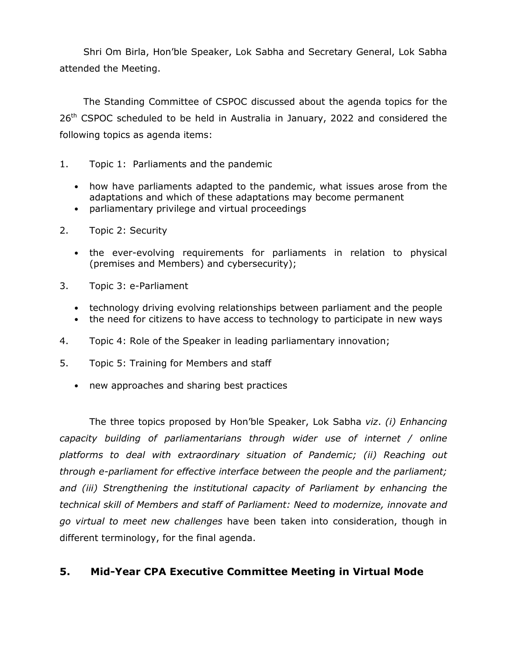Shri Om Birla, Hon'ble Speaker, Lok Sabha and Secretary General, Lok Sabha attended the Meeting.

The Standing Committee of CSPOC discussed about the agenda topics for the 26<sup>th</sup> CSPOC scheduled to be held in Australia in January, 2022 and considered the following topics as agenda items:

- 1. Topic 1: Parliaments and the pandemic
	- how have parliaments adapted to the pandemic, what issues arose from the adaptations and which of these adaptations may become permanent
	- parliamentary privilege and virtual proceedings
- 2. Topic 2: Security
	- the ever-evolving requirements for parliaments in relation to physical (premises and Members) and cybersecurity);
- 3. Topic 3: e-Parliament
	- technology driving evolving relationships between parliament and the people
	- the need for citizens to have access to technology to participate in new ways
- 4. Topic 4: Role of the Speaker in leading parliamentary innovation;
- 5. Topic 5: Training for Members and staff
	- new approaches and sharing best practices

The three topics proposed by Hon'ble Speaker, Lok Sabha *viz*. *(i) Enhancing capacity building of parliamentarians through wider use of internet / online platforms to deal with extraordinary situation of Pandemic; (ii) Reaching out through e-parliament for effective interface between the people and the parliament;*  and (iii) Strengthening the institutional capacity of Parliament by enhancing the *technical skill of Members and staff of Parliament: Need to modernize, innovate and go virtual to meet new challenges* have been taken into consideration, though in different terminology, for the final agenda.

### **5. Mid-Year CPA Executive Committee Meeting in Virtual Mode**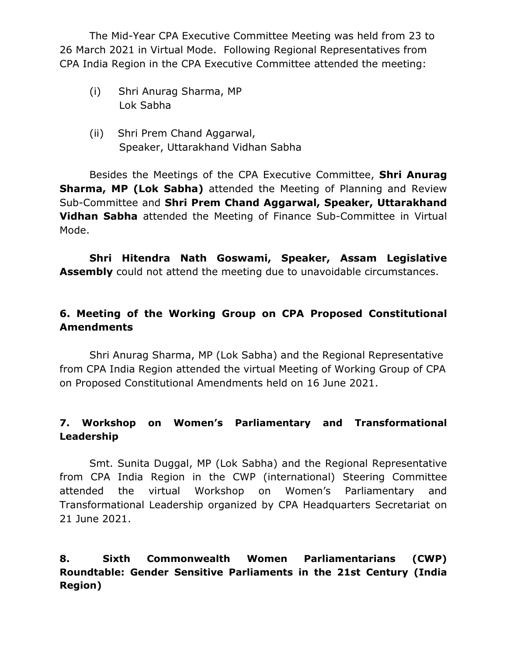The Mid-Year CPA Executive Committee Meeting was held from 23 to 26 March 2021 in Virtual Mode. Following Regional Representatives from CPA India Region in the CPA Executive Committee attended the meeting:

- (i) Shri Anurag Sharma, MP Lok Sabha
- (ii) Shri Prem Chand Aggarwal, Speaker, Uttarakhand Vidhan Sabha

Besides the Meetings of the CPA Executive Committee, **Shri Anurag Sharma, MP (Lok Sabha)** attended the Meeting of Planning and Review Sub-Committee and **Shri Prem Chand Aggarwal, Speaker, Uttarakhand Vidhan Sabha** attended the Meeting of Finance Sub-Committee in Virtual Mode.

**Shri Hitendra Nath Goswami, Speaker, Assam Legislative Assembly** could not attend the meeting due to unavoidable circumstances.

# **6. Meeting of the Working Group on CPA Proposed Constitutional Amendments**

Shri Anurag Sharma, MP (Lok Sabha) and the Regional Representative from CPA India Region attended the virtual Meeting of Working Group of CPA on Proposed Constitutional Amendments held on 16 June 2021.

## **7. Workshop on Women's Parliamentary and Transformational Leadership**

Smt. Sunita Duggal, MP (Lok Sabha) and the Regional Representative from CPA India Region in the CWP (international) Steering Committee attended the virtual Workshop on Women's Parliamentary and Transformational Leadership organized by CPA Headquarters Secretariat on 21 June 2021.

## **8. Sixth Commonwealth Women Parliamentarians (CWP) Roundtable: Gender Sensitive Parliaments in the 21st Century (India Region)**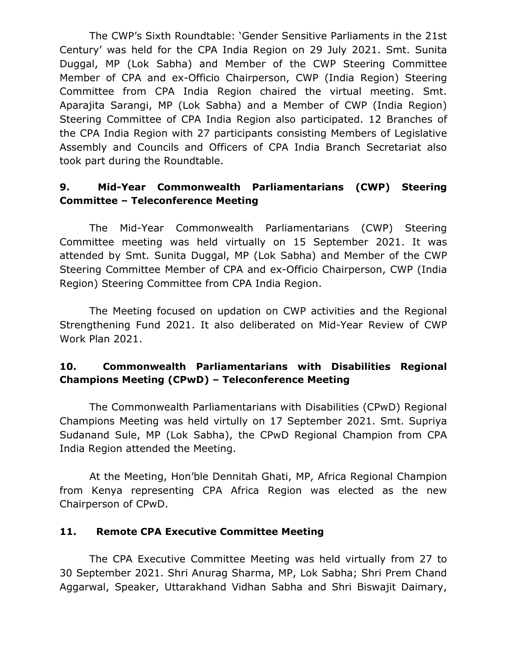The CWP's Sixth Roundtable: 'Gender Sensitive Parliaments in the 21st Century' was held for the CPA India Region on 29 July 2021. Smt. Sunita Duggal, MP (Lok Sabha) and Member of the CWP Steering Committee Member of CPA and ex-Officio Chairperson, CWP (India Region) Steering Committee from CPA India Region chaired the virtual meeting. Smt. Aparajita Sarangi, MP (Lok Sabha) and a Member of CWP (India Region) Steering Committee of CPA India Region also participated. 12 Branches of the CPA India Region with 27 participants consisting Members of Legislative Assembly and Councils and Officers of CPA India Branch Secretariat also took part during the Roundtable.

## **9. Mid-Year Commonwealth Parliamentarians (CWP) Steering Committee – Teleconference Meeting**

The Mid-Year Commonwealth Parliamentarians (CWP) Steering Committee meeting was held virtually on 15 September 2021. It was attended by Smt. Sunita Duggal, MP (Lok Sabha) and Member of the CWP Steering Committee Member of CPA and ex-Officio Chairperson, CWP (India Region) Steering Committee from CPA India Region.

The Meeting focused on updation on CWP activities and the Regional Strengthening Fund 2021. It also deliberated on Mid-Year Review of CWP Work Plan 2021.

## **10. Commonwealth Parliamentarians with Disabilities Regional Champions Meeting (CPwD) – Teleconference Meeting**

The Commonwealth Parliamentarians with Disabilities (CPwD) Regional Champions Meeting was held virtully on 17 September 2021. Smt. Supriya Sudanand Sule, MP (Lok Sabha), the CPwD Regional Champion from CPA India Region attended the Meeting.

At the Meeting, Hon'ble Dennitah Ghati, MP, Africa Regional Champion from Kenya representing CPA Africa Region was elected as the new Chairperson of CPwD.

## **11. Remote CPA Executive Committee Meeting**

The CPA Executive Committee Meeting was held virtually from 27 to 30 September 2021. Shri Anurag Sharma, MP, Lok Sabha; Shri Prem Chand Aggarwal, Speaker, Uttarakhand Vidhan Sabha and Shri Biswajit Daimary,